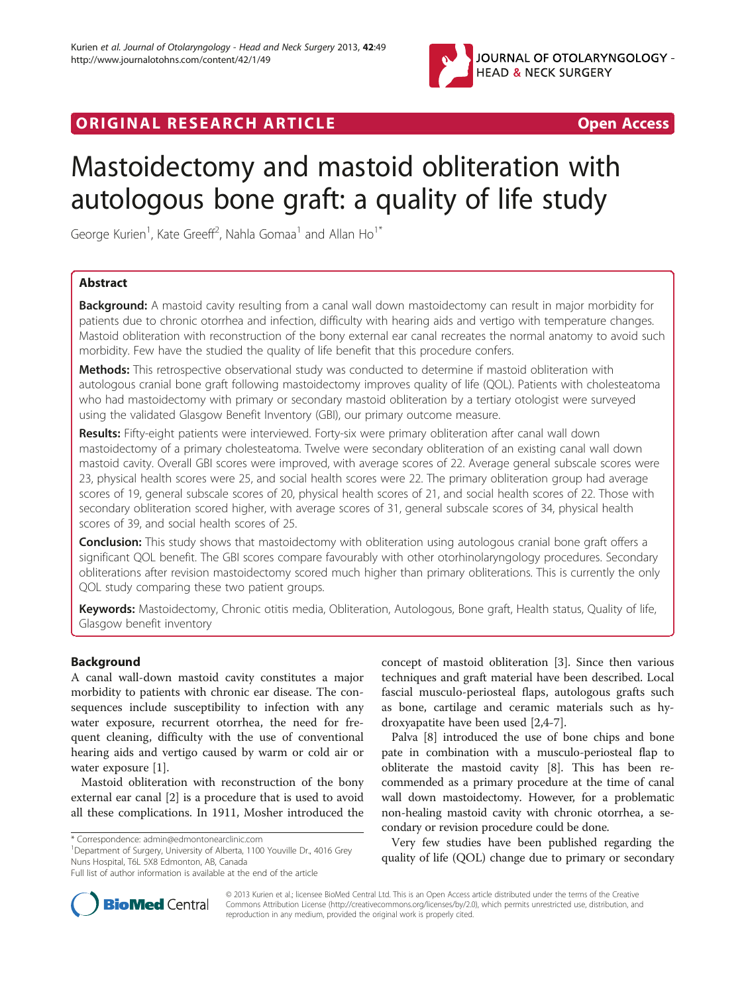

## ORIGINAL RESEARCH ARTICLE **Example 20 and Service Contract Contract Contract Contract Contract Contract Contract Contract Contract Contract Contract Contract Contract Contract Contract Contract Contract Contract Contract C**

# Mastoidectomy and mastoid obliteration with autologous bone graft: a quality of life study

George Kurien<sup>1</sup>, Kate Greeff<sup>2</sup>, Nahla Gomaa<sup>1</sup> and Allan Ho<sup>1\*</sup>

## Abstract

Background: A mastoid cavity resulting from a canal wall down mastoidectomy can result in major morbidity for patients due to chronic otorrhea and infection, difficulty with hearing aids and vertigo with temperature changes. Mastoid obliteration with reconstruction of the bony external ear canal recreates the normal anatomy to avoid such morbidity. Few have the studied the quality of life benefit that this procedure confers.

Methods: This retrospective observational study was conducted to determine if mastoid obliteration with autologous cranial bone graft following mastoidectomy improves quality of life (QOL). Patients with cholesteatoma who had mastoidectomy with primary or secondary mastoid obliteration by a tertiary otologist were surveyed using the validated Glasgow Benefit Inventory (GBI), our primary outcome measure.

Results: Fifty-eight patients were interviewed. Forty-six were primary obliteration after canal wall down mastoidectomy of a primary cholesteatoma. Twelve were secondary obliteration of an existing canal wall down mastoid cavity. Overall GBI scores were improved, with average scores of 22. Average general subscale scores were 23, physical health scores were 25, and social health scores were 22. The primary obliteration group had average scores of 19, general subscale scores of 20, physical health scores of 21, and social health scores of 22. Those with secondary obliteration scored higher, with average scores of 31, general subscale scores of 34, physical health scores of 39, and social health scores of 25.

**Conclusion:** This study shows that mastoidectomy with obliteration using autologous cranial bone graft offers a significant QOL benefit. The GBI scores compare favourably with other otorhinolaryngology procedures. Secondary obliterations after revision mastoidectomy scored much higher than primary obliterations. This is currently the only QOL study comparing these two patient groups.

Keywords: Mastoidectomy, Chronic otitis media, Obliteration, Autologous, Bone graft, Health status, Quality of life, Glasgow benefit inventory

## Background

A canal wall-down mastoid cavity constitutes a major morbidity to patients with chronic ear disease. The consequences include susceptibility to infection with any water exposure, recurrent otorrhea, the need for frequent cleaning, difficulty with the use of conventional hearing aids and vertigo caused by warm or cold air or water exposure [[1\]](#page-5-0).

Mastoid obliteration with reconstruction of the bony external ear canal [\[2](#page-5-0)] is a procedure that is used to avoid all these complications. In 1911, Mosher introduced the

\* Correspondence: [admin@edmontonearclinic.com](mailto:admin@edmontonearclinic.com) <sup>1</sup>

<sup>1</sup>Department of Surgery, University of Alberta, 1100 Youville Dr., 4016 Grey Nuns Hospital, T6L 5X8 Edmonton, AB, Canada

concept of mastoid obliteration [[3](#page-5-0)]. Since then various techniques and graft material have been described. Local fascial musculo-periosteal flaps, autologous grafts such as bone, cartilage and ceramic materials such as hydroxyapatite have been used [[2,4-7](#page-5-0)].

Palva [\[8](#page-5-0)] introduced the use of bone chips and bone pate in combination with a musculo-periosteal flap to obliterate the mastoid cavity [[8\]](#page-5-0). This has been recommended as a primary procedure at the time of canal wall down mastoidectomy. However, for a problematic non-healing mastoid cavity with chronic otorrhea, a secondary or revision procedure could be done.

Very few studies have been published regarding the quality of life (QOL) change due to primary or secondary



© 2013 Kurien et al.; licensee BioMed Central Ltd. This is an Open Access article distributed under the terms of the Creative Commons Attribution License [\(http://creativecommons.org/licenses/by/2.0\)](http://creativecommons.org/licenses/by/2.0), which permits unrestricted use, distribution, and reproduction in any medium, provided the original work is properly cited.

Full list of author information is available at the end of the article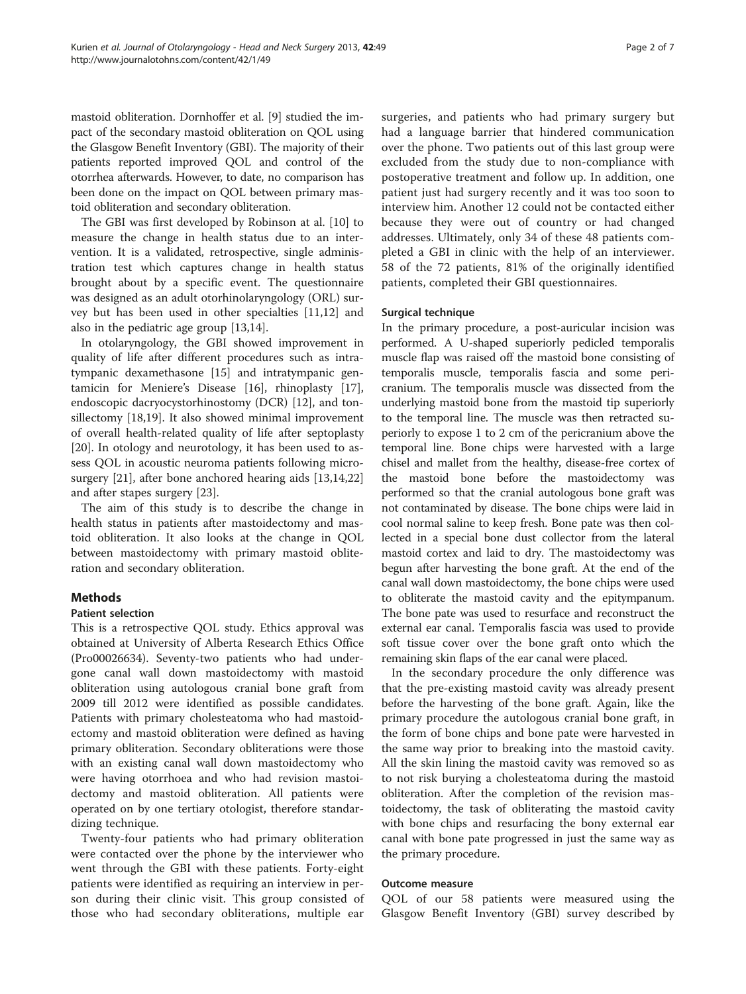mastoid obliteration. Dornhoffer et al. [\[9\]](#page-5-0) studied the impact of the secondary mastoid obliteration on QOL using the Glasgow Benefit Inventory (GBI). The majority of their patients reported improved QOL and control of the otorrhea afterwards. However, to date, no comparison has been done on the impact on QOL between primary mastoid obliteration and secondary obliteration.

The GBI was first developed by Robinson at al. [\[10\]](#page-5-0) to measure the change in health status due to an intervention. It is a validated, retrospective, single administration test which captures change in health status brought about by a specific event. The questionnaire was designed as an adult otorhinolaryngology (ORL) survey but has been used in other specialties [[11,12\]](#page-5-0) and also in the pediatric age group [\[13,14](#page-5-0)].

In otolaryngology, the GBI showed improvement in quality of life after different procedures such as intratympanic dexamethasone [\[15](#page-5-0)] and intratympanic gentamicin for Meniere's Disease [\[16\]](#page-5-0), rhinoplasty [\[17](#page-5-0)], endoscopic dacryocystorhinostomy (DCR) [[12](#page-5-0)], and tonsillectomy [[18](#page-5-0),[19](#page-5-0)]. It also showed minimal improvement of overall health-related quality of life after septoplasty [[20\]](#page-5-0). In otology and neurotology, it has been used to assess QOL in acoustic neuroma patients following microsurgery [\[21\]](#page-5-0), after bone anchored hearing aids [[13](#page-5-0),[14](#page-5-0),[22](#page-5-0)] and after stapes surgery [[23\]](#page-6-0).

The aim of this study is to describe the change in health status in patients after mastoidectomy and mastoid obliteration. It also looks at the change in QOL between mastoidectomy with primary mastoid obliteration and secondary obliteration.

## **Methods**

#### Patient selection

This is a retrospective QOL study. Ethics approval was obtained at University of Alberta Research Ethics Office (Pro00026634). Seventy-two patients who had undergone canal wall down mastoidectomy with mastoid obliteration using autologous cranial bone graft from 2009 till 2012 were identified as possible candidates. Patients with primary cholesteatoma who had mastoidectomy and mastoid obliteration were defined as having primary obliteration. Secondary obliterations were those with an existing canal wall down mastoidectomy who were having otorrhoea and who had revision mastoidectomy and mastoid obliteration. All patients were operated on by one tertiary otologist, therefore standardizing technique.

Twenty-four patients who had primary obliteration were contacted over the phone by the interviewer who went through the GBI with these patients. Forty-eight patients were identified as requiring an interview in person during their clinic visit. This group consisted of those who had secondary obliterations, multiple ear

surgeries, and patients who had primary surgery but had a language barrier that hindered communication over the phone. Two patients out of this last group were excluded from the study due to non-compliance with postoperative treatment and follow up. In addition, one patient just had surgery recently and it was too soon to interview him. Another 12 could not be contacted either because they were out of country or had changed addresses. Ultimately, only 34 of these 48 patients completed a GBI in clinic with the help of an interviewer. 58 of the 72 patients, 81% of the originally identified patients, completed their GBI questionnaires.

## Surgical technique

In the primary procedure, a post-auricular incision was performed. A U-shaped superiorly pedicled temporalis muscle flap was raised off the mastoid bone consisting of temporalis muscle, temporalis fascia and some pericranium. The temporalis muscle was dissected from the underlying mastoid bone from the mastoid tip superiorly to the temporal line. The muscle was then retracted superiorly to expose 1 to 2 cm of the pericranium above the temporal line. Bone chips were harvested with a large chisel and mallet from the healthy, disease-free cortex of the mastoid bone before the mastoidectomy was performed so that the cranial autologous bone graft was not contaminated by disease. The bone chips were laid in cool normal saline to keep fresh. Bone pate was then collected in a special bone dust collector from the lateral mastoid cortex and laid to dry. The mastoidectomy was begun after harvesting the bone graft. At the end of the canal wall down mastoidectomy, the bone chips were used to obliterate the mastoid cavity and the epitympanum. The bone pate was used to resurface and reconstruct the external ear canal. Temporalis fascia was used to provide soft tissue cover over the bone graft onto which the remaining skin flaps of the ear canal were placed.

In the secondary procedure the only difference was that the pre-existing mastoid cavity was already present before the harvesting of the bone graft. Again, like the primary procedure the autologous cranial bone graft, in the form of bone chips and bone pate were harvested in the same way prior to breaking into the mastoid cavity. All the skin lining the mastoid cavity was removed so as to not risk burying a cholesteatoma during the mastoid obliteration. After the completion of the revision mastoidectomy, the task of obliterating the mastoid cavity with bone chips and resurfacing the bony external ear canal with bone pate progressed in just the same way as the primary procedure.

#### Outcome measure

QOL of our 58 patients were measured using the Glasgow Benefit Inventory (GBI) survey described by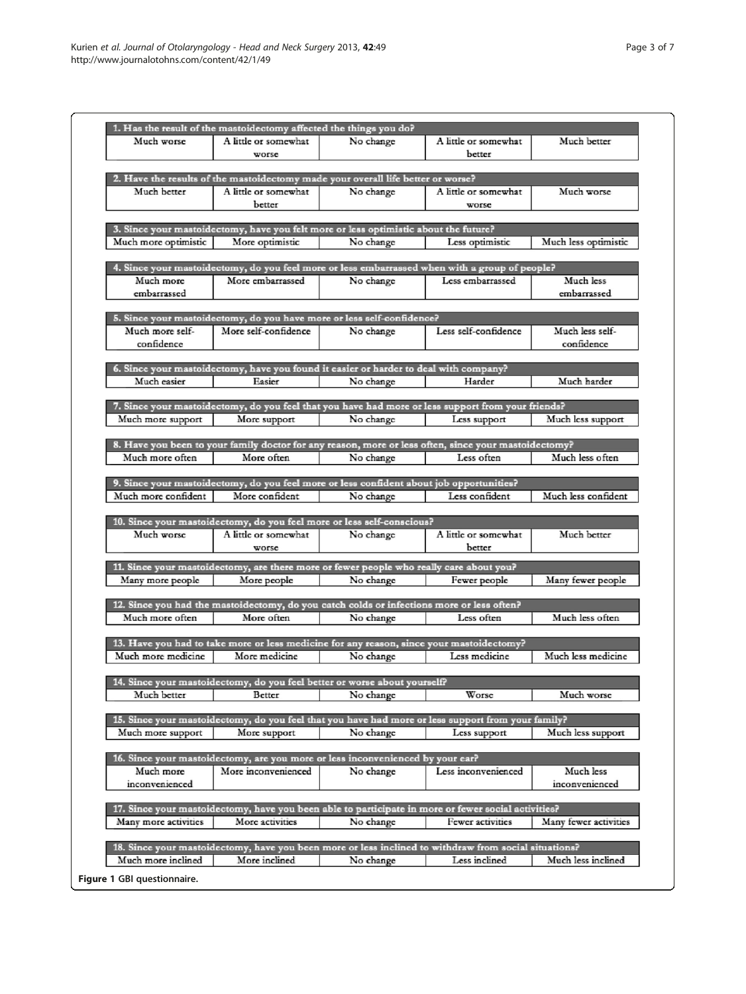<span id="page-2-0"></span>

| 1. Has the result of the mastoidectomy affected the things you do?<br>Much worse |                      |                                                                                           |                                                                                                                        |                       |
|----------------------------------------------------------------------------------|----------------------|-------------------------------------------------------------------------------------------|------------------------------------------------------------------------------------------------------------------------|-----------------------|
|                                                                                  |                      |                                                                                           |                                                                                                                        |                       |
|                                                                                  | A little or somewhat | No change                                                                                 | A little or somewhat                                                                                                   | Much better           |
|                                                                                  | worse                |                                                                                           | better                                                                                                                 |                       |
|                                                                                  |                      |                                                                                           |                                                                                                                        |                       |
|                                                                                  |                      | 2. Have the results of the mastoidectomy made your overall life better or worse?          |                                                                                                                        |                       |
| Much better                                                                      | A little or somewhat | No change                                                                                 | A little or somewhat                                                                                                   | Much worse            |
|                                                                                  |                      |                                                                                           |                                                                                                                        |                       |
|                                                                                  | better               |                                                                                           | worse                                                                                                                  |                       |
|                                                                                  |                      |                                                                                           |                                                                                                                        |                       |
|                                                                                  |                      | 3. Since your mastoidectomy, have you felt more or less optimistic about the future?      |                                                                                                                        |                       |
| Much more optimistic                                                             | More optimistic      | No change                                                                                 | Less optimistic                                                                                                        | Much less optimistic  |
|                                                                                  |                      |                                                                                           |                                                                                                                        |                       |
|                                                                                  |                      |                                                                                           | 4. Since your mastoidectomy, do you feel more or less embarrassed when with a group of people?                         |                       |
| Much more                                                                        | More embarrassed     | No change                                                                                 | Less embarrassed                                                                                                       | Much less             |
| embarrassed                                                                      |                      |                                                                                           |                                                                                                                        | embarrassed           |
|                                                                                  |                      |                                                                                           |                                                                                                                        |                       |
|                                                                                  |                      | 5. Since your mastoidectomy, do you have more or less self-confidence?                    |                                                                                                                        |                       |
| Much more self-                                                                  | More self-confidence |                                                                                           | Less self-confidence                                                                                                   | Much less self-       |
|                                                                                  |                      | No change                                                                                 |                                                                                                                        |                       |
| confidence                                                                       |                      |                                                                                           |                                                                                                                        | confidence            |
|                                                                                  |                      |                                                                                           |                                                                                                                        |                       |
|                                                                                  |                      | 6. Since your mastoidectomy, have you found it easier or harder to deal with company?     |                                                                                                                        |                       |
| Much easier                                                                      | Easier               | No change                                                                                 | Harder                                                                                                                 | Much harder           |
|                                                                                  |                      |                                                                                           |                                                                                                                        |                       |
|                                                                                  |                      |                                                                                           | 7. Since your mastoidectomy, do you feel that you have had more or less support from your friends?                     |                       |
| Much more support                                                                | More support         | No change                                                                                 | Less support                                                                                                           | Much less support     |
|                                                                                  |                      |                                                                                           |                                                                                                                        |                       |
|                                                                                  |                      |                                                                                           | 8. Have you been to your family doctor for any reason, more or less often, since your mastoidectomy?                   |                       |
| Much more often                                                                  | More often           | No change                                                                                 | Less often                                                                                                             | Much less often       |
|                                                                                  |                      |                                                                                           |                                                                                                                        |                       |
|                                                                                  |                      |                                                                                           |                                                                                                                        |                       |
|                                                                                  |                      | 9. Since your mastoidectomy, do you feel more or less confident about job opportunities?  |                                                                                                                        |                       |
| Much more confident                                                              | More confident       | No change                                                                                 | Less confident                                                                                                         | Much less confident   |
|                                                                                  |                      |                                                                                           |                                                                                                                        |                       |
|                                                                                  |                      | 10. Since your mastoidectomy, do you feel more or less self-conscious?                    |                                                                                                                        |                       |
| Much worse                                                                       | A little or somewhat | No change                                                                                 | A little or somewhat                                                                                                   | Much better           |
|                                                                                  | worse                |                                                                                           | better                                                                                                                 |                       |
|                                                                                  |                      |                                                                                           |                                                                                                                        |                       |
|                                                                                  |                      |                                                                                           |                                                                                                                        |                       |
|                                                                                  |                      | 11. Since your mastoidectomy, are there more or fewer people who really care about you?   |                                                                                                                        |                       |
| Many more people                                                                 | More people          | No change                                                                                 | Fewer people                                                                                                           | Many fewer people     |
|                                                                                  |                      |                                                                                           |                                                                                                                        |                       |
|                                                                                  |                      | 12. Since you had the mastoidectomy, do you catch colds or infections more or less often? |                                                                                                                        |                       |
| Much more often                                                                  | More often           | No change                                                                                 | Less often                                                                                                             | Much less often       |
|                                                                                  |                      |                                                                                           |                                                                                                                        |                       |
|                                                                                  |                      |                                                                                           |                                                                                                                        |                       |
|                                                                                  |                      | 13. Have you had to take more or less medicine for any reason, since your mastoidectomy?  |                                                                                                                        |                       |
| Much more medicine                                                               | More medicine.       | No change                                                                                 | Less medicine                                                                                                          |                       |
|                                                                                  |                      |                                                                                           |                                                                                                                        |                       |
|                                                                                  |                      | 14. Since your mastoidectomy, do you feel better or worse about yourself?                 |                                                                                                                        |                       |
| Much better                                                                      | Better               | No change                                                                                 | Worse                                                                                                                  | Much worse            |
|                                                                                  |                      |                                                                                           |                                                                                                                        |                       |
|                                                                                  |                      |                                                                                           | 15. Since your mastoidectomy, do you feel that you have had more or less support from your family?                     | Much less medicine    |
|                                                                                  |                      |                                                                                           |                                                                                                                        |                       |
| Much more support                                                                | More support         | No change                                                                                 | Less support                                                                                                           | Much less support     |
|                                                                                  |                      |                                                                                           |                                                                                                                        |                       |
|                                                                                  |                      | 16. Since your mastoidectomy, are you more or less inconvenienced by your ear?            |                                                                                                                        |                       |
| Much more                                                                        | More inconvenienced  | No change                                                                                 | Less inconvenienced                                                                                                    | Much less             |
| inconvenienced                                                                   |                      |                                                                                           |                                                                                                                        | inconvenienced        |
|                                                                                  |                      |                                                                                           |                                                                                                                        |                       |
|                                                                                  |                      |                                                                                           | 17. Since your mastoidectomy, have you been able to participate in more or fewer social activities?                    |                       |
| Many more activities                                                             | More activities      | No change                                                                                 | Fewer activities                                                                                                       | Many fewer activities |
|                                                                                  |                      |                                                                                           |                                                                                                                        |                       |
|                                                                                  |                      |                                                                                           |                                                                                                                        |                       |
| Much more inclined                                                               | More inclined        | No change                                                                                 | 18. Since your mastoidectomy, have you been more or less inclined to withdraw from social situations?<br>Less inclined | Much less inclined    |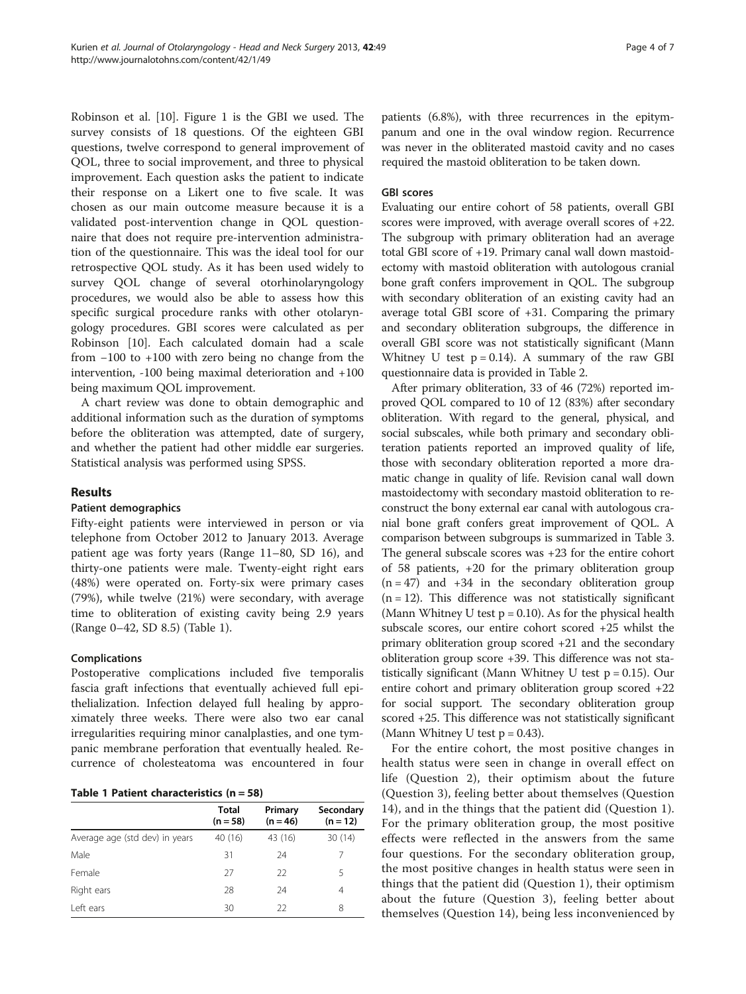Robinson et al. [[10](#page-5-0)]. Figure [1](#page-2-0) is the GBI we used. The survey consists of 18 questions. Of the eighteen GBI questions, twelve correspond to general improvement of QOL, three to social improvement, and three to physical improvement. Each question asks the patient to indicate their response on a Likert one to five scale. It was chosen as our main outcome measure because it is a validated post-intervention change in QOL questionnaire that does not require pre-intervention administration of the questionnaire. This was the ideal tool for our retrospective QOL study. As it has been used widely to survey QOL change of several otorhinolaryngology procedures, we would also be able to assess how this specific surgical procedure ranks with other otolaryngology procedures. GBI scores were calculated as per Robinson [\[10\]](#page-5-0). Each calculated domain had a scale from −100 to +100 with zero being no change from the intervention, -100 being maximal deterioration and +100 being maximum QOL improvement.

A chart review was done to obtain demographic and additional information such as the duration of symptoms before the obliteration was attempted, date of surgery, and whether the patient had other middle ear surgeries. Statistical analysis was performed using SPSS.

#### Results

## Patient demographics

Fifty-eight patients were interviewed in person or via telephone from October 2012 to January 2013. Average patient age was forty years (Range 11–80, SD 16), and thirty-one patients were male. Twenty-eight right ears (48%) were operated on. Forty-six were primary cases (79%), while twelve (21%) were secondary, with average time to obliteration of existing cavity being 2.9 years (Range 0–42, SD 8.5) (Table 1).

#### Complications

Postoperative complications included five temporalis fascia graft infections that eventually achieved full epithelialization. Infection delayed full healing by approximately three weeks. There were also two ear canal irregularities requiring minor canalplasties, and one tympanic membrane perforation that eventually healed. Recurrence of cholesteatoma was encountered in four

|  |  | Table 1 Patient characteristics $(n = 58)$ |  |  |
|--|--|--------------------------------------------|--|--|
|--|--|--------------------------------------------|--|--|

|                                | <b>Total</b><br>$(n = 58)$ | Primary<br>$(n = 46)$ | Secondary<br>$(n = 12)$ |  |  |  |
|--------------------------------|----------------------------|-----------------------|-------------------------|--|--|--|
| Average age (std dev) in years | 40 (16)                    | 43 (16)               | 30 (14)                 |  |  |  |
| Male                           | 31                         | 24                    |                         |  |  |  |
| Female                         | 27                         | 22                    | 5                       |  |  |  |
| Right ears                     | 28                         | 24                    | $\overline{4}$          |  |  |  |
| Left ears                      | 30                         | 22                    | 8                       |  |  |  |

patients (6.8%), with three recurrences in the epitympanum and one in the oval window region. Recurrence was never in the obliterated mastoid cavity and no cases required the mastoid obliteration to be taken down.

#### GBI scores

Evaluating our entire cohort of 58 patients, overall GBI scores were improved, with average overall scores of +22. The subgroup with primary obliteration had an average total GBI score of +19. Primary canal wall down mastoidectomy with mastoid obliteration with autologous cranial bone graft confers improvement in QOL. The subgroup with secondary obliteration of an existing cavity had an average total GBI score of +31. Comparing the primary and secondary obliteration subgroups, the difference in overall GBI score was not statistically significant (Mann Whitney U test  $p = 0.14$ ). A summary of the raw GBI questionnaire data is provided in Table [2](#page-4-0).

After primary obliteration, 33 of 46 (72%) reported improved QOL compared to 10 of 12 (83%) after secondary obliteration. With regard to the general, physical, and social subscales, while both primary and secondary obliteration patients reported an improved quality of life, those with secondary obliteration reported a more dramatic change in quality of life. Revision canal wall down mastoidectomy with secondary mastoid obliteration to reconstruct the bony external ear canal with autologous cranial bone graft confers great improvement of QOL. A comparison between subgroups is summarized in Table [3](#page-4-0). The general subscale scores was +23 for the entire cohort of 58 patients, +20 for the primary obliteration group  $(n = 47)$  and  $+34$  in the secondary obliteration group  $(n = 12)$ . This difference was not statistically significant (Mann Whitney U test  $p = 0.10$ ). As for the physical health subscale scores, our entire cohort scored +25 whilst the primary obliteration group scored +21 and the secondary obliteration group score +39. This difference was not statistically significant (Mann Whitney U test  $p = 0.15$ ). Our entire cohort and primary obliteration group scored +22 for social support. The secondary obliteration group scored +25. This difference was not statistically significant (Mann Whitney U test  $p = 0.43$ ).

For the entire cohort, the most positive changes in health status were seen in change in overall effect on life (Question 2), their optimism about the future (Question 3), feeling better about themselves (Question 14), and in the things that the patient did (Question 1). For the primary obliteration group, the most positive effects were reflected in the answers from the same four questions. For the secondary obliteration group, the most positive changes in health status were seen in things that the patient did (Question 1), their optimism about the future (Question 3), feeling better about themselves (Question 14), being less inconvenienced by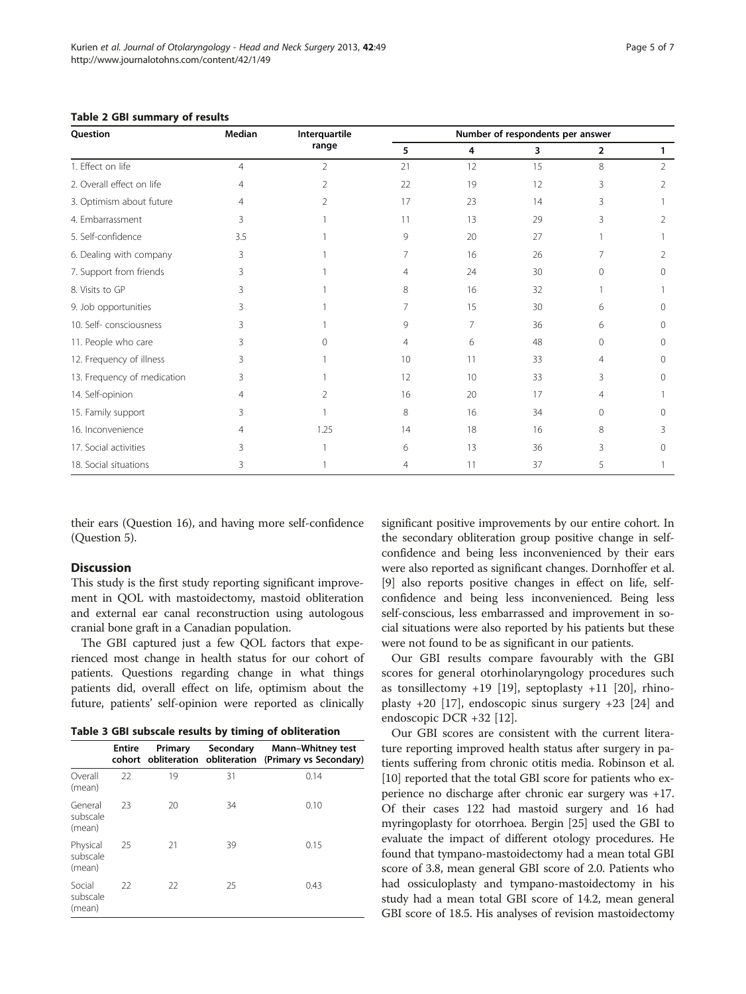| Question                    | Median         | Interquartile<br>range | Number of respondents per answer |                |    |                |          |
|-----------------------------|----------------|------------------------|----------------------------------|----------------|----|----------------|----------|
|                             |                |                        | 5                                | 4              | 3  | $\overline{2}$ | 1        |
| 1. Effect on life           | $\overline{4}$ | $\overline{2}$         | 21                               | 12             | 15 | 8              | 2        |
| 2. Overall effect on life   | 4              | 2                      | 22                               | 19             | 12 | 3              | 2        |
| 3. Optimism about future    | 4              |                        | 17                               | 23             | 14 | ζ              |          |
| 4. Embarrassment            | 3              |                        | 11                               | 13             | 29 | 3              | 2        |
| 5. Self-confidence          | 3.5            |                        | 9                                | 20             | 27 |                |          |
| 6. Dealing with company     | 3              |                        |                                  | 16             | 26 |                | 2        |
| 7. Support from friends     | 3              |                        | 4                                | 24             | 30 | $\Omega$       | 0        |
| 8. Visits to GP             | 3              |                        | 8                                | 16             | 32 |                |          |
| 9. Job opportunities        | 3              |                        | 7                                | 15             | 30 | 6              | $\Omega$ |
| 10. Self-consciousness      | 3              |                        | 9                                | $\overline{7}$ | 36 | 6              | $\Omega$ |
| 11. People who care         | 3              | ∩                      | 4                                | 6              | 48 | $\mathbf{0}$   | $\Omega$ |
| 12. Frequency of illness    | 3              |                        | 10                               | 11             | 33 | 4              | $\Omega$ |
| 13. Frequency of medication | 3              |                        | 12                               | 10             | 33 | 3              | $\Omega$ |
| 14. Self-opinion            | 4              | $\mathcal{P}$          | 16                               | 20             | 17 | 4              |          |
| 15. Family support          | 3              |                        | 8                                | 16             | 34 | $\Omega$       | 0        |
| 16. Inconvenience           | 4              | 1.25                   | 14                               | 18             | 16 | 8              | 3        |
| 17. Social activities       | ζ              |                        | 6                                | 13             | 36 | 3              | 0        |
| 18. Social situations       | 3              |                        | $\overline{4}$                   | 11             | 37 | 5              |          |

<span id="page-4-0"></span>Table 2 GBI summary of results

their ears (Question 16), and having more self-confidence (Question 5).

#### Discussion

This study is the first study reporting significant improvement in QOL with mastoidectomy, mastoid obliteration and external ear canal reconstruction using autologous cranial bone graft in a Canadian population.

The GBI captured just a few QOL factors that experienced most change in health status for our cohort of patients. Questions regarding change in what things patients did, overall effect on life, optimism about the future, patients' self-opinion were reported as clinically

|  |  |  |  |  |  | Table 3 GBI subscale results by timing of obliteration |
|--|--|--|--|--|--|--------------------------------------------------------|
|--|--|--|--|--|--|--------------------------------------------------------|

|                                | <b>Entire</b><br>cohort | Primary | Secondary | <b>Mann-Whitney test</b><br>obliteration obliteration (Primary vs Secondary) |
|--------------------------------|-------------------------|---------|-----------|------------------------------------------------------------------------------|
| Overall<br>(mean)              | 22                      | 19      | 31        | 0.14                                                                         |
| General<br>subscale<br>(mean)  | 23                      | 20      | 34        | 0.10                                                                         |
| Physical<br>subscale<br>(mean) | 25                      | 21      | 39        | 0.15                                                                         |
| Social<br>subscale<br>(mean)   | 22                      | 22      | 25        | 0.43                                                                         |

significant positive improvements by our entire cohort. In the secondary obliteration group positive change in selfconfidence and being less inconvenienced by their ears were also reported as significant changes. Dornhoffer et al. [[9\]](#page-5-0) also reports positive changes in effect on life, selfconfidence and being less inconvenienced. Being less self-conscious, less embarrassed and improvement in social situations were also reported by his patients but these were not found to be as significant in our patients.

Our GBI results compare favourably with the GBI scores for general otorhinolaryngology procedures such as tonsillectomy  $+19$  [\[19](#page-5-0)], septoplasty  $+11$  [\[20](#page-5-0)], rhinoplasty +20 [\[17](#page-5-0)], endoscopic sinus surgery +23 [\[24](#page-6-0)] and endoscopic DCR +32 [[12\]](#page-5-0).

Our GBI scores are consistent with the current literature reporting improved health status after surgery in patients suffering from chronic otitis media. Robinson et al. [[10](#page-5-0)] reported that the total GBI score for patients who experience no discharge after chronic ear surgery was +17. Of their cases 122 had mastoid surgery and 16 had myringoplasty for otorrhoea. Bergin [[25](#page-6-0)] used the GBI to evaluate the impact of different otology procedures. He found that tympano-mastoidectomy had a mean total GBI score of 3.8, mean general GBI score of 2.0. Patients who had ossiculoplasty and tympano-mastoidectomy in his study had a mean total GBI score of 14.2, mean general GBI score of 18.5. His analyses of revision mastoidectomy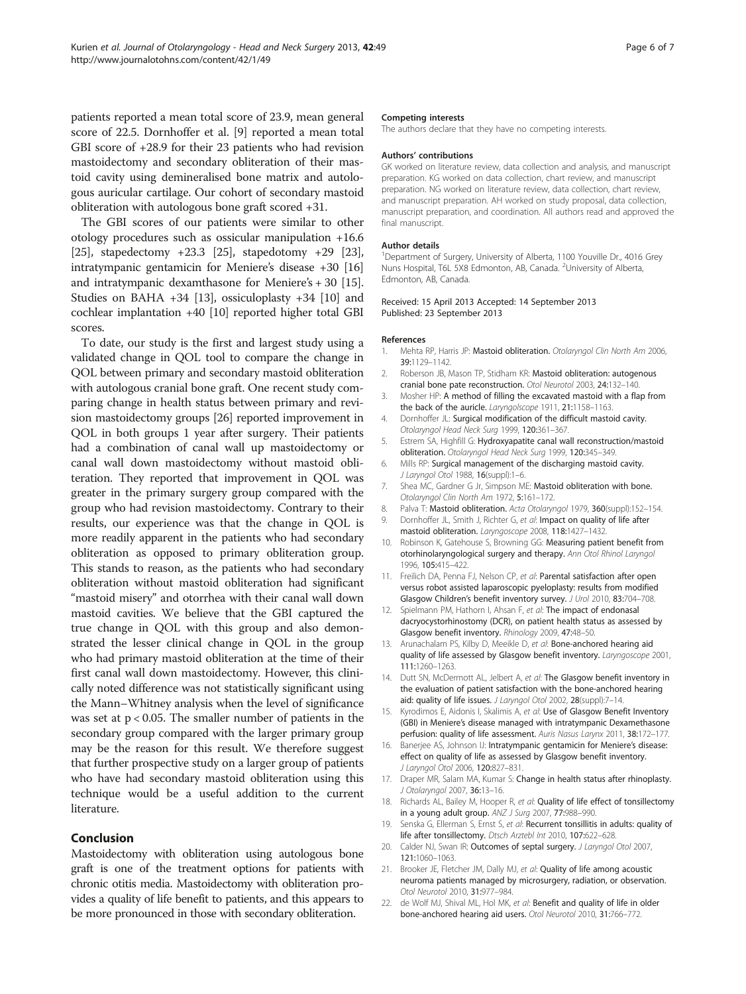<span id="page-5-0"></span>patients reported a mean total score of 23.9, mean general score of 22.5. Dornhoffer et al. [9] reported a mean total GBI score of +28.9 for their 23 patients who had revision mastoidectomy and secondary obliteration of their mastoid cavity using demineralised bone matrix and autologous auricular cartilage. Our cohort of secondary mastoid obliteration with autologous bone graft scored +31.

The GBI scores of our patients were similar to other otology procedures such as ossicular manipulation +16.6 [[25](#page-6-0)], stapedectomy +23.3 [\[25\]](#page-6-0), stapedotomy +29 [[23](#page-6-0)], intratympanic gentamicin for Meniere's disease +30 [16] and intratympanic dexamthasone for Meniere's + 30 [15]. Studies on BAHA +34 [13], ossiculoplasty +34 [10] and cochlear implantation +40 [10] reported higher total GBI scores.

To date, our study is the first and largest study using a validated change in QOL tool to compare the change in QOL between primary and secondary mastoid obliteration with autologous cranial bone graft. One recent study comparing change in health status between primary and revision mastoidectomy groups [\[26\]](#page-6-0) reported improvement in QOL in both groups 1 year after surgery. Their patients had a combination of canal wall up mastoidectomy or canal wall down mastoidectomy without mastoid obliteration. They reported that improvement in QOL was greater in the primary surgery group compared with the group who had revision mastoidectomy. Contrary to their results, our experience was that the change in QOL is more readily apparent in the patients who had secondary obliteration as opposed to primary obliteration group. This stands to reason, as the patients who had secondary obliteration without mastoid obliteration had significant "mastoid misery" and otorrhea with their canal wall down mastoid cavities. We believe that the GBI captured the true change in QOL with this group and also demonstrated the lesser clinical change in QOL in the group who had primary mastoid obliteration at the time of their first canal wall down mastoidectomy. However, this clinically noted difference was not statistically significant using the Mann–Whitney analysis when the level of significance was set at  $p < 0.05$ . The smaller number of patients in the secondary group compared with the larger primary group may be the reason for this result. We therefore suggest that further prospective study on a larger group of patients who have had secondary mastoid obliteration using this technique would be a useful addition to the current literature.

### Conclusion

Mastoidectomy with obliteration using autologous bone graft is one of the treatment options for patients with chronic otitis media. Mastoidectomy with obliteration provides a quality of life benefit to patients, and this appears to be more pronounced in those with secondary obliteration.

#### Competing interests

The authors declare that they have no competing interests.

#### Authors' contributions

GK worked on literature review, data collection and analysis, and manuscript preparation. KG worked on data collection, chart review, and manuscript preparation. NG worked on literature review, data collection, chart review, and manuscript preparation. AH worked on study proposal, data collection, manuscript preparation, and coordination. All authors read and approved the final manuscript.

#### Author details

<sup>1</sup>Department of Surgery, University of Alberta, 1100 Youville Dr., 4016 Grey Nuns Hospital, T6L 5X8 Edmonton, AB, Canada. <sup>2</sup>University of Alberta Edmonton, AB, Canada.

#### Received: 15 April 2013 Accepted: 14 September 2013 Published: 23 September 2013

#### References

- 1. Mehta RP, Harris JP: Mastoid obliteration. Otolaryngol Clin North Am 2006, 39:1129–1142.
- 2. Roberson JB, Mason TP, Stidham KR: Mastoid obliteration: autogenous cranial bone pate reconstruction. Otol Neurotol 2003, 24:132–140.
- 3. Mosher HP: A method of filling the excavated mastoid with a flap from the back of the auricle. Laryngolscope 1911, 21:1158-1163.
- 4. Dornhoffer JL: Surgical modification of the difficult mastoid cavity. Otolaryngol Head Neck Surg 1999, 120:361–367.
- 5. Estrem SA, Highfill G: Hydroxyapatite canal wall reconstruction/mastoid obliteration. Otolaryngol Head Neck Surg 1999, 120:345–349.
- 6. Mills RP: Surgical management of the discharging mastoid cavity. J Laryngol Otol 1988, 16(suppl):1–6.
- 7. Shea MC, Gardner G Jr, Simpson ME: Mastoid obliteration with bone. Otolaryngol Clin North Am 1972, 5:161–172.
- 8. Palva T: Mastoid obliteration. Acta Otolaryngol 1979, 360(suppl):152-154.
- 9. Dornhoffer JL, Smith J, Richter G, et al: Impact on quality of life after mastoid obliteration. Laryngoscope 2008, 118:1427–1432.
- 10. Robinson K, Gatehouse S, Browning GG: Measuring patient benefit from otorhinolaryngological surgery and therapy. Ann Otol Rhinol Laryngol 1996, 105:415–422.
- 11. Freilich DA, Penna FJ, Nelson CP, et al: Parental satisfaction after open versus robot assisted laparoscopic pyeloplasty: results from modified Glasgow Children's benefit inventory survey. J Urol 2010, 83:704–708.
- 12. Spielmann PM, Hathorn I, Ahsan F, et al: The impact of endonasal dacryocystorhinostomy (DCR), on patient health status as assessed by Glasgow benefit inventory. Rhinology 2009, 47:48–50.
- 13. Arunachalam PS, Kilby D, Meeikle D, et al: Bone-anchored hearing aid quality of life assessed by Glasgow benefit inventory. Laryngoscope 2001, 111:1260–1263.
- 14. Dutt SN, McDermott AL, Jelbert A, et al: The Glasgow benefit inventory in the evaluation of patient satisfaction with the bone-anchored hearing aid: quality of life issues. J Laryngol Otol 2002, 28(suppl):7-14.
- 15. Kyrodimos E, Aidonis I, Skalimis A, et al: Use of Glasgow Benefit Inventory (GBI) in Meniere's disease managed with intratympanic Dexamethasone perfusion: quality of life assessment. Auris Nasus Larynx 2011, 38:172-177.
- 16. Banerjee AS, Johnson IJ: Intratympanic gentamicin for Meniere's disease: effect on quality of life as assessed by Glasgow benefit inventory. J Laryngol Otol 2006, 120:827–831.
- 17. Draper MR, Salam MA, Kumar S: Change in health status after rhinoplasty. J Otolaryngol 2007, 36:13–16.
- 18. Richards AL, Bailey M, Hooper R, et al: Quality of life effect of tonsillectomy in a young adult group. ANZ J Surg 2007, 77:988-990.
- 19. Senska G, Ellerman S, Ernst S, et al: Recurrent tonsillitis in adults: quality of life after tonsillectomy. Dtsch Arztebl Int 2010, 107:622-628.
- 20. Calder NJ, Swan IR: Outcomes of septal surgery. J Laryngol Otol 2007, 121:1060–1063.
- 21. Brooker JE, Fletcher JM, Dally MJ, et al: Quality of life among acoustic neuroma patients managed by microsurgery, radiation, or observation. Otol Neurotol 2010, 31:977–984.
- 22. de Wolf MJ, Shival ML, Hol MK, et al: Benefit and quality of life in older bone-anchored hearing aid users. Otol Neurotol 2010, 31:766–772.